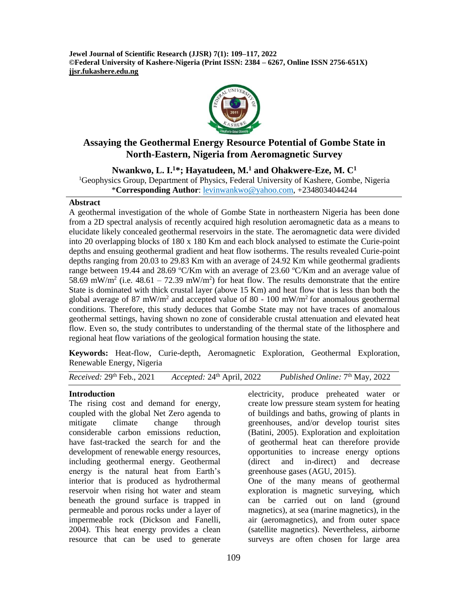**Jewel Journal of Scientific Research (JJSR) 7(1): 109–117, 2022 ©Federal University of Kashere-Nigeria (Print ISSN: 2384 – 6267, Online ISSN 2756-651X) jjsr.fukashere.edu.ng**



# **Assaying the Geothermal Energy Resource Potential of Gombe State in North-Eastern, Nigeria from Aeromagnetic Survey**

**Nwankwo, L. I.<sup>1</sup>\*; Hayatudeen, M.<sup>1</sup> and Ohakwere-Eze, M. C<sup>1</sup>** <sup>1</sup>Geophysics Group, Department of Physics, Federal University of Kashere, Gombe, Nigeria \***Corresponding Author**: [levinwankwo@yahoo.com,](mailto:levinwankwo@yahoo.com) +2348034044244

#### **Abstract**

A geothermal investigation of the whole of Gombe State in northeastern Nigeria has been done from a 2D spectral analysis of recently acquired high resolution aeromagnetic data as a means to elucidate likely concealed geothermal reservoirs in the state. The aeromagnetic data were divided into 20 overlapping blocks of 180 x 180 Km and each block analysed to estimate the Curie-point depths and ensuing geothermal gradient and heat flow isotherms. The results revealed Curie-point depths ranging from 20.03 to 29.83 Km with an average of 24.92 Km while geothermal gradients range between 19.44 and 28.69 °C/Km with an average of 23.60 °C/Km and an average value of 58.69 mW/m<sup>2</sup> (i.e.  $48.61 - 72.39$  mW/m<sup>2</sup>) for heat flow. The results demonstrate that the entire State is dominated with thick crustal layer (above 15 Km) and heat flow that is less than both the global average of 87 mW/m<sup>2</sup> and accepted value of 80 - 100 mW/m<sup>2</sup> for anomalous geothermal conditions. Therefore, this study deduces that Gombe State may not have traces of anomalous geothermal settings, having shown no zone of considerable crustal attenuation and elevated heat flow. Even so, the study contributes to understanding of the thermal state of the lithosphere and regional heat flow variations of the geological formation housing the state.

**Keywords:** Heat-flow, Curie-depth, Aeromagnetic Exploration, Geothermal Exploration, Renewable Energy, Nigeria

*Received:* 29<sup>th</sup> Feb., 2021 *Accepted:* 24<sup>th</sup> April, 2022 Published Online:  $7<sup>th</sup>$  May, 2022

#### **Introduction**

The rising cost and demand for energy, coupled with the global Net Zero agenda to mitigate climate change through considerable carbon emissions reduction, have fast-tracked the search for and the development of renewable energy resources, including geothermal energy. Geothermal energy is the natural heat from Earth's interior that is produced as hydrothermal reservoir when rising hot water and steam beneath the ground surface is trapped in permeable and porous rocks under a layer of impermeable rock (Dickson and Fanelli, 2004). This heat energy provides a clean resource that can be used to generate

electricity, produce preheated water or create low pressure steam system for heating of buildings and baths, growing of plants in greenhouses, and/or develop tourist sites (Batini, 2005). Exploration and exploitation of geothermal heat can therefore provide opportunities to increase energy options (direct and in-direct) and decrease greenhouse gases (AGU, 2015). One of the many means of geothermal

exploration is magnetic surveying, which can be carried out on land (ground magnetics), at sea (marine magnetics), in the air (aeromagnetics), and from outer space (satellite magnetics). Nevertheless, airborne surveys are often chosen for large area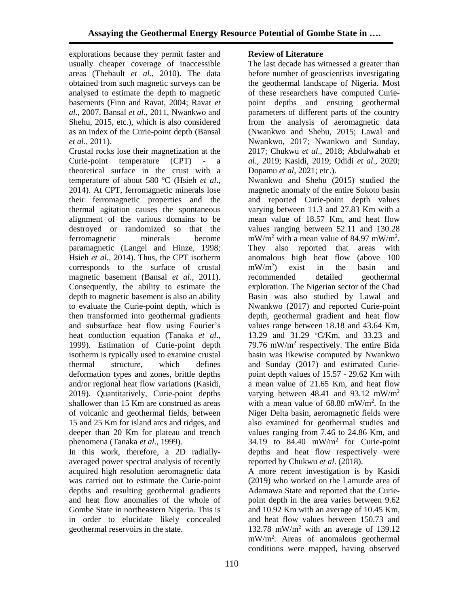explorations because they permit faster and usually cheaper coverage of inaccessible areas (Thebault *et al*., 2010). The data obtained from such magnetic surveys can be analysed to estimate the depth to magnetic basements (Finn and Ravat, 2004; Ravat *et al.*, 2007, Bansal *et al*., 2011, Nwankwo and Shehu, 2015, etc.), which is also considered as an index of the Curie-point depth (Bansal *et al*., 2011).

Crustal rocks lose their magnetization at the Curie-point temperature (CPT) - a theoretical surface in the crust with a temperature of about 580 °C (Hsieh *et al.*, 2014). At CPT, ferromagnetic minerals lose their ferromagnetic properties and the thermal agitation causes the spontaneous alignment of the various domains to be destroyed or randomized so that the ferromagnetic minerals become paramagnetic (Langel and Hinze, 1998; Hsieh *et al.,* 2014). Thus, the CPT isotherm corresponds to the surface of crustal magnetic basement (Bansal *et al*., 2011). Consequently, the ability to estimate the depth to magnetic basement is also an ability to evaluate the Curie-point depth, which is then transformed into geothermal gradients and subsurface heat flow using Fourier's heat conduction equation (Tanaka *et al*., 1999). Estimation of Curie-point depth isotherm is typically used to examine crustal thermal structure, which defines deformation types and zones, brittle depths and/or regional heat flow variations (Kasidi, 2019). Quantitatively, Curie-point depths shallower than 15 Km are construed as areas of volcanic and geothermal fields, between 15 and 25 Km for island arcs and ridges, and deeper than 20 Km for plateau and trench phenomena (Tanaka *et al*., 1999).

In this work, therefore, a 2D radiallyaveraged power spectral analysis of recently acquired high resolution aeromagnetic data was carried out to estimate the Curie-point depths and resulting geothermal gradients and heat flow anomalies of the whole of Gombe State in northeastern Nigeria. This is in order to elucidate likely concealed geothermal reservoirs in the state.

# **Review of Literature**

The last decade has witnessed a greater than before number of geoscientists investigating the geothermal landscape of Nigeria. Most of these researchers have computed Curiepoint depths and ensuing geothermal parameters of different parts of the country from the analysis of aeromagnetic data (Nwankwo and Shehu, 2015; Lawal and Nwankwo, 2017; Nwankwo and Sunday, 2017; Chukwu *et al*., 2018; Abdulwahab *et al.*, 2019; Kasidi, 2019; Odidi *et al*., 2020; Dopamu *et al*, 2021; etc.).

Nwankwo and Shehu (2015) studied the magnetic anomaly of the entire Sokoto basin and reported Curie-point depth values varying between 11.3 and 27.83 Km with a mean value of 18.57 Km, and heat flow values ranging between 52.11 and 130.28  $mW/m^2$  with a mean value of 84.97 mW/m<sup>2</sup>. They also reported that areas with anomalous high heat flow (above 100  $mW/m^2$ ) exist in the basin and recommended detailed geothermal exploration. The Nigerian sector of the Chad Basin was also studied by Lawal and Nwankwo (2017) and reported Curie-point depth, geothermal gradient and heat flow values range between 18.18 and 43.64 Km, 13.29 and 31.29 °C/Km, and 33.23 and 79.76 mW/m<sup>2</sup> respectively. The entire Bida basin was likewise computed by Nwankwo and Sunday (2017) and estimated Curiepoint depth values of 15.57 - 29.62 Km with a mean value of 21.65 Km, and heat flow varying between  $48.41$  and  $93.12$  mW/m<sup>2</sup> with a mean value of  $68.80$  mW/m<sup>2</sup>. In the Niger Delta basin, aeromagnetic fields were also examined for geothermal studies and values ranging from 7.46 to 24.86 Km, and 34.19 to  $84.40$  mW/m<sup>2</sup> for Curie-point depths and heat flow respectively were reported by Chukwu *et al*. (2018).

A more recent investigation is by Kasidi (2019) who worked on the Lamurde area of Adamawa State and reported that the Curiepoint depth in the area varies between 9.62 and 10.92 Km with an average of 10.45 Km, and heat flow values between 150.73 and 132.78 mW/m<sup>2</sup> with an average of 139.12 mW/m<sup>2</sup> . Areas of anomalous geothermal conditions were mapped, having observed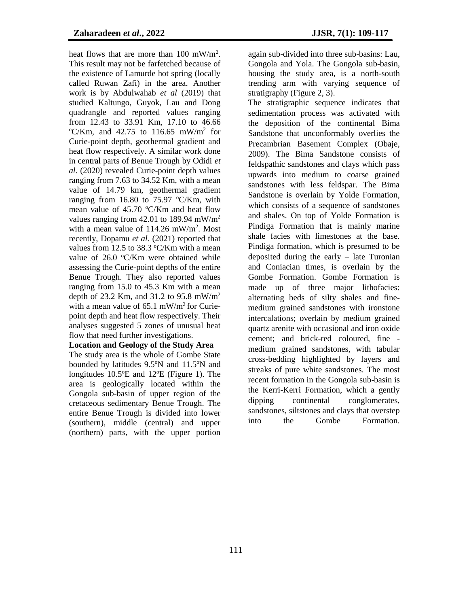heat flows that are more than 100 mW/m<sup>2</sup>. This result may not be farfetched because of the existence of Lamurde hot spring (locally called Ruwan Zafi) in the area. Another work is by Abdulwahab *et al* (2019) that studied Kaltungo, Guyok, Lau and Dong quadrangle and reported values ranging from 12.43 to 33.91 Km, 17.10 to 46.66  $\mathrm{C/Km}$ , and 42.75 to 116.65 mW/m<sup>2</sup> for Curie-point depth, geothermal gradient and heat flow respectively. A similar work done in central parts of Benue Trough by Odidi *et al.* (2020) revealed Curie-point depth values ranging from 7.63 to 34.52 Km, with a mean value of 14.79 km, geothermal gradient ranging from 16.80 to 75.97  $\mathrm{C/Km}$ , with mean value of  $45.70 \degree C/Km$  and heat flow values ranging from  $42.01$  to 189.94 mW/m<sup>2</sup> with a mean value of  $114.26$  mW/m<sup>2</sup>. Most recently, Dopamu *et al.* (2021) reported that values from 12.5 to 38.3  $\textdegree$ C/Km with a mean value of  $26.0$  °C/Km were obtained while assessing the Curie-point depths of the entire Benue Trough. They also reported values ranging from 15.0 to 45.3 Km with a mean depth of 23.2 Km, and 31.2 to 95.8 mW/m<sup>2</sup> with a mean value of  $65.1$  mW/m<sup>2</sup> for Curiepoint depth and heat flow respectively. Their analyses suggested 5 zones of unusual heat flow that need further investigations.

#### **Location and Geology of the Study Area**

The study area is the whole of Gombe State bounded by latitudes  $9.5^{\circ}$ N and  $11.5^{\circ}$ N and longitudes  $10.5^{\circ}E$  and  $12^{\circ}E$  (Figure 1). The area is geologically located within the Gongola sub-basin of upper region of the cretaceous sedimentary Benue Trough. The entire Benue Trough is divided into lower (southern), middle (central) and upper (northern) parts, with the upper portion

again sub-divided into three sub-basins: Lau, Gongola and Yola. The Gongola sub-basin, housing the study area, is a north-south trending arm with varying sequence of stratigraphy (Figure 2, 3).

The stratigraphic sequence indicates that sedimentation process was activated with the deposition of the continental Bima Sandstone that unconformably overlies the Precambrian Basement Complex (Obaje, 2009). The Bima Sandstone consists of feldspathic sandstones and clays which pass upwards into medium to coarse grained sandstones with less feldspar. The Bima Sandstone is overlain by Yolde Formation, which consists of a sequence of sandstones and shales. On top of Yolde Formation is Pindiga Formation that is mainly marine shale facies with limestones at the base. Pindiga formation, which is presumed to be deposited during the early – late Turonian and Coniacian times, is overlain by the Gombe Formation. Gombe Formation is made up of three major lithofacies: alternating beds of silty shales and finemedium grained sandstones with ironstone intercalations; overlain by medium grained quartz arenite with occasional and iron oxide cement; and brick-red coloured, fine medium grained sandstones, with tabular cross-bedding highlighted by layers and streaks of pure white sandstones. The most recent formation in the Gongola sub-basin is the Kerri-Kerri Formation, which a gently dipping continental conglomerates, sandstones, siltstones and clays that overstep into the Gombe Formation.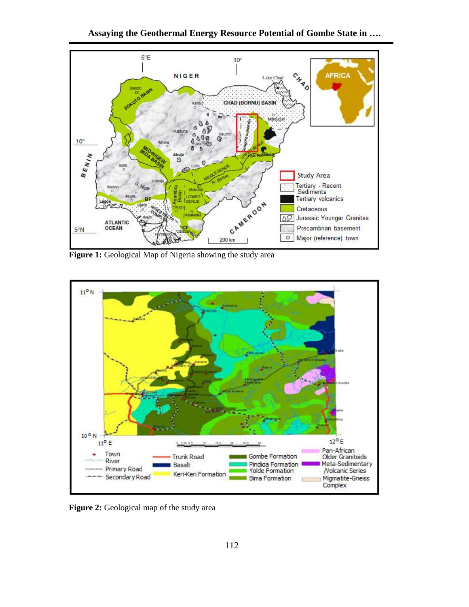

**Figure 1:** Geological Map of Nigeria showing the study area



**Figure 2:** Geological map of the study area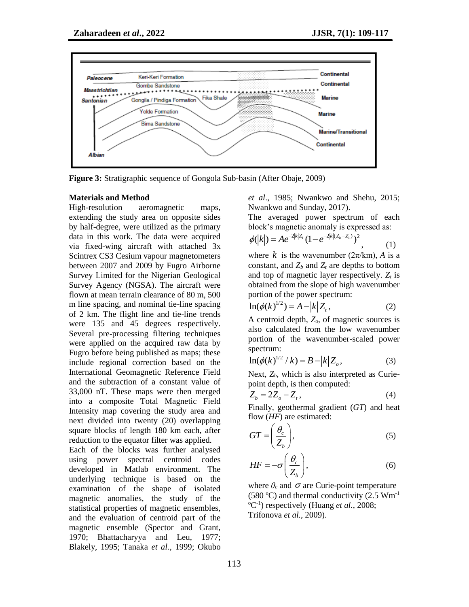

**Figure 3:** Stratigraphic sequence of Gongola Sub-basin (After Obaje, 2009)

#### **Materials and Method**

High-resolution aeromagnetic maps, extending the study area on opposite sides by half-degree, were utilized as the primary data in this work. The data were acquired via fixed-wing aircraft with attached 3x Scintrex CS3 Cesium vapour magnetometers between 2007 and 2009 by Fugro Airborne Survey Limited for the Nigerian Geological Survey Agency (NGSA). The aircraft were flown at mean terrain clearance of 80 m, 500 m line spacing, and nominal tie-line spacing of 2 km. The flight line and tie-line trends were 135 and 45 degrees respectively. Several pre-processing filtering techniques were applied on the acquired raw data by Fugro before being published as maps; these include regional correction based on the International Geomagnetic Reference Field and the subtraction of a constant value of 33,000 nT. These maps were then merged into a composite Total Magnetic Field Intensity map covering the study area and next divided into twenty (20) overlapping square blocks of length 180 km each, after reduction to the equator filter was applied.

Each of the blocks was further analysed using power spectral centroid codes developed in Matlab environment. The underlying technique is based on the examination of the shape of isolated magnetic anomalies, the study of the statistical properties of magnetic ensembles, and the evaluation of centroid part of the magnetic ensemble (Spector and Grant, 1970; Bhattacharyya and Leu, 1977; Blakely, 1995; Tanaka *et al.,* 1999; Okubo

*et al*., 1985; Nwankwo and Shehu, 2015; Nwankwo and Sunday, 2017).

The averaged power spectrum of each block's magnetic anomaly is expressed as:

$$
\phi(|k|) = Ae^{-2|k|Z_t} (1 - e^{-2|k|(Z_b - Z_t)})^2, \qquad (1)
$$

where  $k$  is the wavenumber  $(2\pi/km)$ , *A* is a constant, and  $Z_b$  and  $Z_t$  are depths to bottom and top of magnetic layer respectively. *Z<sup>t</sup>* is obtained from the slope of high wavenumber portion of the power spectrum:

$$
\ln(\phi(k)^{1/2}) = A - |k| Z_t, \tag{2}
$$

A centroid depth, *Zo*, of magnetic sources is also calculated from the low wavenumber portion of the wavenumber-scaled power spectrum:

$$
\ln(\phi(k)^{1/2} / k) = B - |k| Z_o,
$$
 (3)

Next, *Zb*, which is also interpreted as Curiepoint depth, is then computed:

$$
Z_b = 2Z_o - Z_t, \qquad (4)
$$

Finally, geothermal gradient (*GT*) and heat flow (*HF*) are estimated:

$$
GT = \left(\frac{\theta_c}{Z_b}\right),\tag{5}
$$

$$
HF = -\sigma \left(\frac{\theta_c}{Z_b}\right),\tag{6}
$$

where  $\theta_c$  and  $\sigma$  are Curie-point temperature (580 °C) and thermal conductivity (2.5  $Wm^{-1}$ ) <sup>o</sup>C<sup>-1</sup>) respectively (Huang *et al.*, 2008; Trifonova *et al.,* 2009).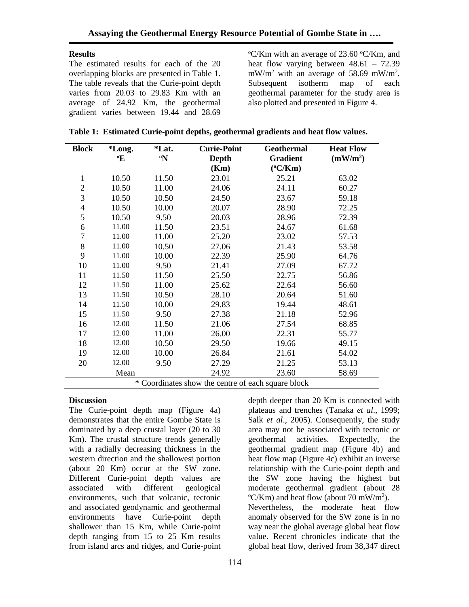### **Results**

The estimated results for each of the 20 overlapping blocks are presented in Table 1. The table reveals that the Curie-point depth varies from 20.03 to 29.83 Km with an average of 24.92 Km, the geothermal gradient varies between 19.44 and 28.69

 $\rm{O}^{\circ}$ C/Km with an average of 23.60  $\rm{O}^{\circ}$ C/Km, and heat flow varying between 48.61 – 72.39  $mW/m^2$  with an average of 58.69 mW/m<sup>2</sup>. Subsequent isotherm map of each geothermal parameter for the study area is also plotted and presented in Figure 4.

| <b>Block</b>   | *Long.                                             | <i>*Lat.</i>                                | <b>Curie-Point</b> | <b>Geothermal</b> | <b>Heat Flow</b>     |  |
|----------------|----------------------------------------------------|---------------------------------------------|--------------------|-------------------|----------------------|--|
|                | °E                                                 | $\boldsymbol{\Omega}^{\boldsymbol{\omega}}$ | <b>Depth</b>       | <b>Gradient</b>   | (mW/m <sup>2</sup> ) |  |
|                |                                                    |                                             | (Km)               | $(^{\circ}C/Km)$  |                      |  |
| 1              | 10.50                                              | 11.50                                       | 23.01              | 25.21             | 63.02                |  |
| $\mathbf{2}$   | 10.50                                              | 11.00                                       | 24.06              | 24.11             | 60.27                |  |
| 3              | 10.50                                              | 10.50                                       | 24.50              | 23.67             | 59.18                |  |
| $\overline{4}$ | 10.50                                              | 10.00                                       | 20.07              | 28.90             | 72.25                |  |
| 5              | 10.50                                              | 9.50                                        | 20.03              | 28.96             | 72.39                |  |
| 6              | 11.00                                              | 11.50                                       | 23.51              | 24.67             | 61.68                |  |
| $\overline{7}$ | 11.00                                              | 11.00                                       | 25.20              | 23.02             | 57.53                |  |
| $8\,$          | 11.00                                              | 10.50                                       | 27.06              | 21.43             | 53.58                |  |
| 9              | 11.00                                              | 10.00                                       | 22.39              | 25.90             | 64.76                |  |
| 10             | 11.00                                              | 9.50                                        | 21.41              | 27.09             | 67.72                |  |
| 11             | 11.50                                              | 11.50                                       | 25.50              | 22.75             | 56.86                |  |
| 12             | 11.50                                              | 11.00                                       | 25.62              | 22.64             | 56.60                |  |
| 13             | 11.50                                              | 10.50                                       | 28.10              | 20.64             | 51.60                |  |
| 14             | 11.50                                              | 10.00                                       | 29.83              | 19.44             | 48.61                |  |
| 15             | 11.50                                              | 9.50                                        | 27.38              | 21.18             | 52.96                |  |
| 16             | 12.00                                              | 11.50                                       | 21.06              | 27.54             | 68.85                |  |
| 17             | 12.00                                              | 11.00                                       | 26.00              | 22.31             | 55.77                |  |
| 18             | 12.00                                              | 10.50                                       | 29.50              | 19.66             | 49.15                |  |
| 19             | 12.00                                              | 10.00                                       | 26.84              | 21.61             | 54.02                |  |
| 20             | 12.00                                              | 9.50                                        | 27.29              | 21.25             | 53.13                |  |
|                | Mean                                               |                                             | 24.92              | 23.60             | 58.69                |  |
|                | * Coordinates show the centre of each square block |                                             |                    |                   |                      |  |

### **Discussion**

The Curie-point depth map (Figure 4a) demonstrates that the entire Gombe State is dominated by a deep crustal layer (20 to 30 Km). The crustal structure trends generally with a radially decreasing thickness in the western direction and the shallowest portion (about 20 Km) occur at the SW zone. Different Curie-point depth values are associated with different geological environments, such that volcanic, tectonic and associated geodynamic and geothermal environments have Curie-point depth shallower than 15 Km, while Curie-point depth ranging from 15 to 25 Km results from island arcs and ridges, and Curie-point

depth deeper than 20 Km is connected with plateaus and trenches (Tanaka *et al*., 1999; Salk *et al*., 2005). Consequently, the study area may not be associated with tectonic or geothermal activities. Expectedly, the geothermal gradient map (Figure 4b) and heat flow map (Figure 4c) exhibit an inverse relationship with the Curie-point depth and the SW zone having the highest but moderate geothermal gradient (about 28  $\mathrm{C/Km}$ ) and heat flow (about 70 mW/m<sup>2</sup>). Nevertheless, the moderate heat flow anomaly observed for the SW zone is in no way near the global average global heat flow value. Recent chronicles indicate that the global heat flow, derived from 38,347 direct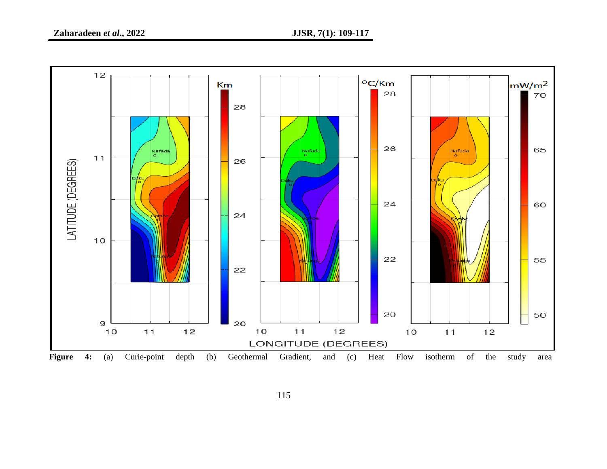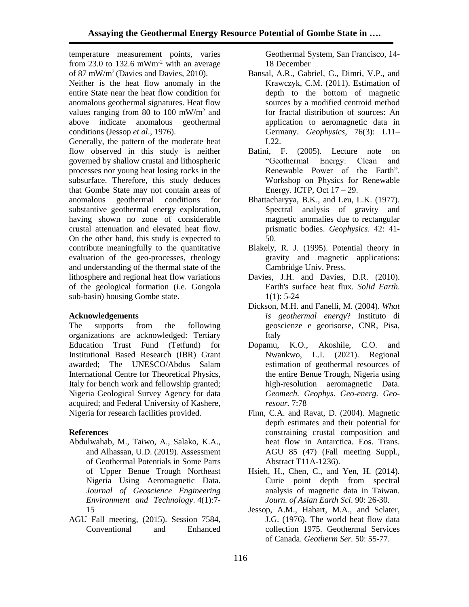temperature measurement points, varies from 23.0 to 132.6 mWm<sup>-2</sup> with an average of 87 mW/m<sup>2</sup> (Davies and Davies, 2010). Neither is the heat flow anomaly in the entire State near the heat flow condition for anomalous geothermal signatures. Heat flow values ranging from 80 to 100 mW/m<sup>2</sup> and above indicate anomalous geothermal conditions (Jessop *et al*., 1976).

Generally, the pattern of the moderate heat flow observed in this study is neither governed by shallow crustal and lithospheric processes nor young heat losing rocks in the subsurface. Therefore, this study deduces that Gombe State may not contain areas of anomalous geothermal conditions for substantive geothermal energy exploration, having shown no zone of considerable crustal attenuation and elevated heat flow. On the other hand, this study is expected to contribute meaningfully to the quantitative evaluation of the geo-processes, rheology and understanding of the thermal state of the lithosphere and regional heat flow variations of the geological formation (i.e. Gongola sub-basin) housing Gombe state.

## **Acknowledgements**

The supports from the following organizations are acknowledged: Tertiary Education Trust Fund (Tetfund) for Institutional Based Research (IBR) Grant awarded; The UNESCO/Abdus Salam International Centre for Theoretical Physics, Italy for bench work and fellowship granted; Nigeria Geological Survey Agency for data acquired; and Federal University of Kashere, Nigeria for research facilities provided.

## **References**

- Abdulwahab, M., Taiwo, A., Salako, K.A., and Alhassan, U.D. (2019). Assessment of Geothermal Potentials in Some Parts of Upper Benue Trough Northeast Nigeria Using Aeromagnetic Data. *Journal of Geoscience Engineering Environment and Technology*. 4(1):7- 15
- AGU Fall meeting, (2015). Session 7584, Conventional and Enhanced

Geothermal System, San Francisco, 14- 18 December

- Bansal, A.R., Gabriel, G., Dimri, V.P., and Krawczyk, C.M. (2011). Estimation of depth to the bottom of magnetic sources by a modified centroid method for fractal distribution of sources: An application to aeromagnetic data in Germany. *Geophysics*, 76(3): L11– L22.
- Batini, F. (2005). Lecture note on "Geothermal Energy: Clean and Renewable Power of the Earth". Workshop on Physics for Renewable Energy. ICTP, Oct  $17 - 29$ .
- Bhattacharyya, B.K., and Leu, L.K. (1977). Spectral analysis of gravity and magnetic anomalies due to rectangular prismatic bodies. *Geophysics*. 42: 41- 50.
- Blakely, R. J. (1995). Potential theory in gravity and magnetic applications: Cambridge Univ. Press.
- Davies, J.H. and Davies, D.R. (2010). Earth's surface heat flux. *Solid Earth*.  $1(1): 5-24$
- Dickson, M.H. and Fanelli, M. (2004). *What is geothermal energy*? Instituto di geoscienze e georisorse, CNR, Pisa, Italy
- Dopamu, K.O., Akoshile, C.O. and Nwankwo, L.I. (2021). Regional estimation of geothermal resources of the entire Benue Trough, Nigeria using high-resolution aeromagnetic Data. *Geomech. Geophys. Geo-energ. Georesour.* 7:78
- Finn, C.A. and Ravat, D. (2004). Magnetic depth estimates and their potential for constraining crustal composition and heat flow in Antarctica. Eos. Trans. AGU 85 (47) (Fall meeting Suppl., Abstract T11A-1236).
- Hsieh, H., Chen, C., and Yen, H. (2014). Curie point depth from spectral analysis of magnetic data in Taiwan. *Journ. of Asian Earth Sci*. 90: 26-30.
- Jessop, A.M., Habart, M.A., and Sclater, J.G. (1976). The world heat flow data collection 1975. Geothermal Services of Canada. *Geotherm Ser.* 50: 55-77.